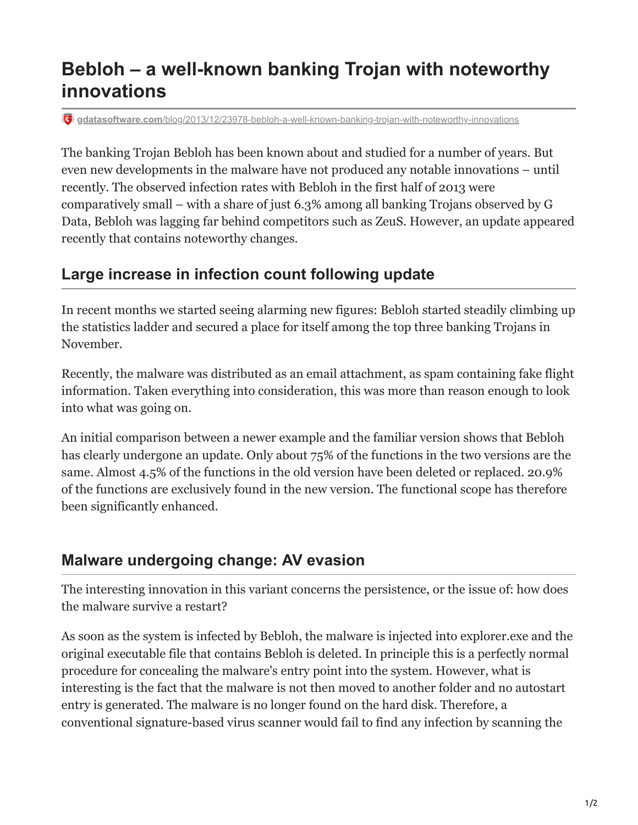## **Bebloh – a well-known banking Trojan with noteworthy innovations**

**gdatasoftware.com**[/blog/2013/12/23978-bebloh-a-well-known-banking-trojan-with-noteworthy-innovations](https://www.gdatasoftware.com/blog/2013/12/23978-bebloh-a-well-known-banking-trojan-with-noteworthy-innovations)

The banking Trojan Bebloh has been known about and studied for a number of years. But even new developments in the malware have not produced any notable innovations – until recently. The observed infection rates with Bebloh in the first half of 2013 were comparatively small – with a share of just 6.3% among all banking Trojans observed by G Data, Bebloh was lagging far behind competitors such as ZeuS. However, an update appeared recently that contains noteworthy changes.

## **Large increase in infection count following update**

In recent months we started seeing alarming new figures: Bebloh started steadily climbing up the statistics ladder and secured a place for itself among the top three banking Trojans in November.

Recently, the malware was distributed as an email attachment, as spam containing fake flight information. Taken everything into consideration, this was more than reason enough to look into what was going on.

An initial comparison between a newer example and the familiar version shows that Bebloh has clearly undergone an update. Only about 75% of the functions in the two versions are the same. Almost 4.5% of the functions in the old version have been deleted or replaced. 20.9% of the functions are exclusively found in the new version. The functional scope has therefore been significantly enhanced.

## **Malware undergoing change: AV evasion**

The interesting innovation in this variant concerns the persistence, or the issue of: how does the malware survive a restart?

As soon as the system is infected by Bebloh, the malware is injected into explorer.exe and the original executable file that contains Bebloh is deleted. In principle this is a perfectly normal procedure for concealing the malware's entry point into the system. However, what is interesting is the fact that the malware is not then moved to another folder and no autostart entry is generated. The malware is no longer found on the hard disk. Therefore, a conventional signature-based virus scanner would fail to find any infection by scanning the